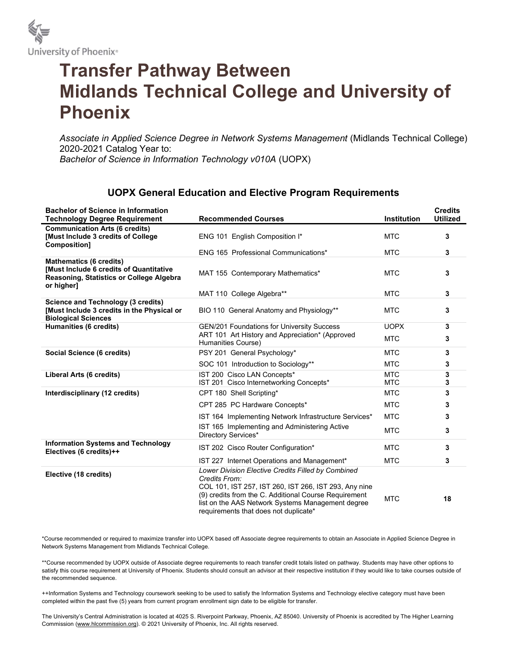

## Transfer Pathway Between Midlands Technical College and University of Phoenix

Associate in Applied Science Degree in Network Systems Management (Midlands Technical College) 2020-2021 Catalog Year to: Bachelor of Science in Information Technology v010A (UOPX)

## UOPX General Education and Elective Program Requirements

| <b>Bachelor of Science in Information</b><br><b>Technology Degree Requirement</b>                                                          | <b>Recommended Courses</b>                                                                                                                                                                                                                                                          | <b>Institution</b>       | <b>Credits</b><br><b>Utilized</b> |
|--------------------------------------------------------------------------------------------------------------------------------------------|-------------------------------------------------------------------------------------------------------------------------------------------------------------------------------------------------------------------------------------------------------------------------------------|--------------------------|-----------------------------------|
| <b>Communication Arts (6 credits)</b><br>[Must Include 3 credits of College]<br>Composition]                                               | ENG 101 English Composition I*                                                                                                                                                                                                                                                      | <b>MTC</b>               | 3                                 |
|                                                                                                                                            | ENG 165 Professional Communications*                                                                                                                                                                                                                                                | <b>MTC</b>               | 3                                 |
| <b>Mathematics (6 credits)</b><br><b>IMust Include 6 credits of Quantitative</b><br>Reasoning, Statistics or College Algebra<br>or higher] | MAT 155 Contemporary Mathematics*                                                                                                                                                                                                                                                   | <b>MTC</b>               | 3                                 |
|                                                                                                                                            | MAT 110 College Algebra**                                                                                                                                                                                                                                                           | <b>MTC</b>               | 3                                 |
| <b>Science and Technology (3 credits)</b><br>[Must Include 3 credits in the Physical or<br><b>Biological Sciences</b>                      | BIO 110 General Anatomy and Physiology**                                                                                                                                                                                                                                            | <b>MTC</b>               | 3                                 |
| Humanities (6 credits)                                                                                                                     | <b>GEN/201 Foundations for University Success</b>                                                                                                                                                                                                                                   | <b>UOPX</b>              | 3                                 |
|                                                                                                                                            | ART 101 Art History and Appreciation* (Approved<br>Humanities Course)                                                                                                                                                                                                               | <b>MTC</b>               | 3                                 |
| Social Science (6 credits)                                                                                                                 | PSY 201 General Psychology*                                                                                                                                                                                                                                                         | <b>MTC</b>               | 3                                 |
|                                                                                                                                            | SOC 101 Introduction to Sociology**                                                                                                                                                                                                                                                 | <b>MTC</b>               | 3                                 |
| Liberal Arts (6 credits)                                                                                                                   | IST 200 Cisco LAN Concepts*<br>IST 201 Cisco Internetworking Concepts*                                                                                                                                                                                                              | <b>MTC</b><br><b>MTC</b> | 3<br>3                            |
| Interdisciplinary (12 credits)                                                                                                             | CPT 180 Shell Scripting*                                                                                                                                                                                                                                                            | <b>MTC</b>               | 3                                 |
|                                                                                                                                            | CPT 285 PC Hardware Concepts*                                                                                                                                                                                                                                                       | <b>MTC</b>               | 3                                 |
|                                                                                                                                            | IST 164 Implementing Network Infrastructure Services*                                                                                                                                                                                                                               | <b>MTC</b>               | 3                                 |
|                                                                                                                                            | IST 165 Implementing and Administering Active<br>Directory Services*                                                                                                                                                                                                                | <b>MTC</b>               | 3                                 |
| <b>Information Systems and Technology</b><br>Electives (6 credits)++                                                                       | IST 202 Cisco Router Configuration*                                                                                                                                                                                                                                                 | <b>MTC</b>               | 3                                 |
|                                                                                                                                            | IST 227 Internet Operations and Management*                                                                                                                                                                                                                                         | <b>MTC</b>               | 3                                 |
| Elective (18 credits)                                                                                                                      | Lower Division Elective Credits Filled by Combined<br>Credits From:<br>COL 101, IST 257, IST 260, IST 266, IST 293, Any nine<br>(9) credits from the C. Additional Course Requirement<br>list on the AAS Network Systems Management degree<br>requirements that does not duplicate* | <b>MTC</b>               | 18                                |

\*Course recommended or required to maximize transfer into UOPX based off Associate degree requirements to obtain an Associate in Applied Science Degree in Network Systems Management from Midlands Technical College.

\*\*Course recommended by UOPX outside of Associate degree requirements to reach transfer credit totals listed on pathway. Students may have other options to satisfy this course requirement at University of Phoenix. Students should consult an advisor at their respective institution if they would like to take courses outside of the recommended sequence.

++Information Systems and Technology coursework seeking to be used to satisfy the Information Systems and Technology elective category must have been completed within the past five (5) years from current program enrollment sign date to be eligible for transfer.

The University's Central Administration is located at 4025 S. Riverpoint Parkway, Phoenix, AZ 85040. University of Phoenix is accredited by The Higher Learning Commission (www.hlcommission.org). © 2021 University of Phoenix, Inc. All rights reserved.